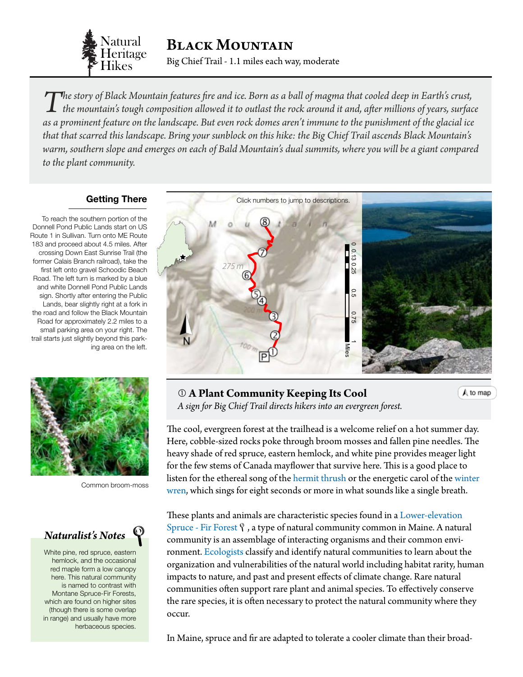

The story of Black Mountain features fire and ice. Born as a ball of magma that cooled deep in Earth's crust,<br>the mountain's tough composition allowed it to outlast the rock around it and, after millions of years, surface *as a prominent feature on the landscape. But even rock domes aren't immune to the punishment of the glacial ice that that scarred this landscape. Bring your sunblock on this hike: the Big Chief Trail ascends Black Mountain's warm, southern slope and emerges on each of Bald Mountain's dual summits, where you will be a giant compared to the plant community.*

### **Getting There**

To reach the southern portion of the Donnell Pond Public Lands start on US Route 1 in Sullivan. Turn onto ME Route 183 and proceed about 4.5 miles. After crossing Down East Sunrise Trail (the former Calais Branch railroad), take the first left onto gravel Schoodic Beach Road. The left turn is marked by a blue and white Donnell Pond Public Lands sign. Shortly after entering the Public Lands, bear slightly right at a fork in the road and follow the Black Mountain Road for approximately 2.2 miles to a small parking area on your right. The trail starts just slightly beyond this parking area on the left.



Common broom-moss

# *Naturalist's Notes*

White pine, red spruce, eastern hemlock, and the occasional red maple form a low canopy here. This natural community is named to contrast with Montane Spruce-Fir Forests, which are found on higher sites (though there is some overlap in range) and usually have more herbaceous species.

<span id="page-0-0"></span>

 **A Plant Community Keeping Its Cool** *A sign for Big Chief Trail directs hikers into an evergreen forest.*

The cool, evergreen forest at the trailhead is a welcome relief on a hot summer day. Here, cobble-sized rocks poke through broom mosses and fallen pine needles. The heavy shade of red spruce, eastern hemlock, and white pine provides meager light for the few stems of Canada mayflower that survive here. This is a good place to listen for the ethereal song of the [hermit thrush](http://www.allaboutbirds.org/guide/Hermit_Thrush/id) or the energetic carol of the winter [wren,](http://www.allaboutbirds.org/guide/winter_wren/id) which sings for eight seconds or more in what sounds like a single breath.

 $A$  to map

These plants and animals are characteristic species found in a [Lower-elevation](http://www.maine.gov/dacf/mnap/features/communities/lowelevationspruce.htm)  [Spruce - Fir Forest](http://www.maine.gov/dacf/mnap/features/communities/lowelevationspruce.htm)  $\gamma$ , a type of natural community common in Maine. A natural community is an assemblage of interacting organisms and their common environment. [Ecologists](#page-4-0) classify and identify natural communities to learn about the organization and vulnerabilities of the natural world including habitat rarity, human impacts to nature, and past and present effects of climate change. Rare natural communities often support rare plant and animal species. To effectively conserve the rare species, it is often necessary to protect the natural community where they occur.

In Maine, spruce and fir are adapted to tolerate a cooler climate than their broad-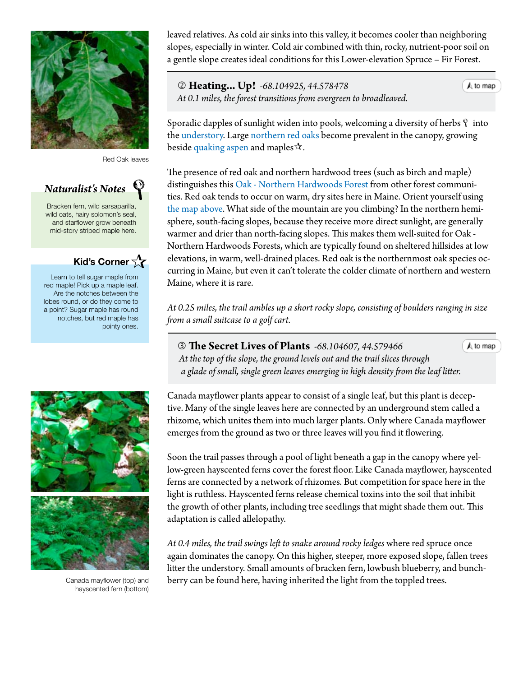

Red Oak leaves

# *Naturalist's Notes*

Bracken fern, wild sarsaparilla, wild oats, hairy solomon's seal, and starflower grow beneath mid-story striped maple here.

# **Kid's Corner**

Learn to tell sugar maple from red maple! Pick up a maple leaf. Are the notches between the lobes round, or do they come to a point? Sugar maple has round notches, but red maple has pointy ones.



Canada mayflower (top) and hayscented fern (bottom)

leaved relatives. As cold air sinks into this valley, it becomes cooler than neighboring slopes, especially in winter. Cold air combined with thin, rocky, nutrient-poor soil on a gentle slope creates ideal conditions for this Lower-elevation Spruce – Fir Forest.

 **Heating... Up!** *-68.104925, 44.578478 At 0.1 miles, the forest transitions from evergreen to broadleaved.*

 $A$  to map

 $A$  to map

Sporadic dapples of sunlight widen into pools, welcoming a diversity of herbs  $\gamma$  into the [understory](#page-4-0). Large [northern red oaks](http://dendro.cnre.vt.edu/dendrology/syllabus/factsheet.cfm?ID=38) become prevalent in the canopy, growing beside [quaking aspen](http://dendro.cnre.vt.edu/dendrology/syllabus/factsheet.cfm?ID=160) and maples  $\mathcal{A}$ .

The presence of [red oak](http://dendro.cnre.vt.edu/dendrology/syllabus/factsheet.cfm?ID=38) and northern hardwood trees (such as birch and maple) distinguishes this [Oak - Northern Hardwoods Forest](http://www.maine.gov/dacf/mnap/features/communities/redoakhardwoodpineforest.htm) from other forest communities. Red oak tends to occur on warm, dry sites here in Maine. Orient yourself using [the map above.](#page-0-0) What side of the mountain are you climbing? In the northern hemisphere, south-facing slopes, because they receive more direct sunlight, are generally warmer and drier than north-facing slopes. This makes them well-suited for Oak - Northern Hardwoods Forests, which are typically found on sheltered hillsides at low elevations, in warm, well-drained places. Red oak is the northernmost oak species occurring in Maine, but even it can't tolerate the colder climate of northern and western Maine, where it is rare.

*At 0.25 miles, the trail ambles up a short rocky slope, consisting of boulders ranging in size from a small suitcase to a golf cart.*

 **The Secret Lives of Plants** *-68.104607, 44.579466 At the top of the slope, the ground levels out and the trail slices through a glade of small, single green leaves emerging in high density from the leaf litter.*

Canada mayflower plants appear to consist of a single leaf, but this plant is deceptive. Many of the single leaves here are connected by an underground stem called a rhizome, which unites them into much larger plants. Only where Canada mayflower emerges from the ground as two or three leaves will you find it flowering.

Soon the trail passes through a pool of light beneath a gap in the canopy where yellow-green hayscented ferns cover the forest floor. Like Canada mayflower, hayscented ferns are connected by a network of rhizomes. But competition for space here in the light is ruthless. Hayscented ferns release chemical toxins into the soil that inhibit the growth of other plants, including tree seedlings that might shade them out. This adaptation is called allelopathy.

*At 0.4 miles, the trail swings left to snake around rocky ledges* where red spruce once again dominates the canopy. On this higher, steeper, more exposed slope, fallen trees litter the [understory.](#page-4-0) Small amounts of bracken fern, lowbush blueberry, and bunchberry can be found here, having inherited the light from the toppled trees.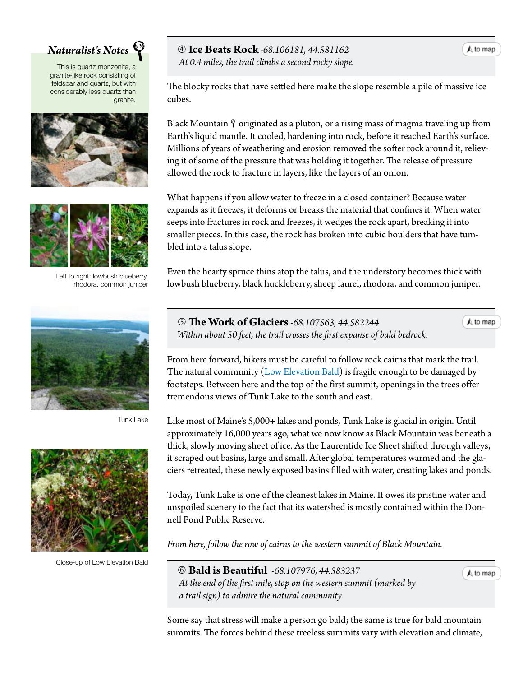

This is quartz monzonite, a granite-like rock consisting of feldspar and quartz, but with considerably less quartz than granite.





Left to right: lowbush blueberry, rhodora, common juniper



Tunk Lake



Close-up of Low Elevation Bald

## *Naturalist's Notes* **Ice Beats Rock** *-68.106181, 44.581162*

 *At 0.4 miles, the trail climbs a second rocky slope.*

The blocky rocks that have settled here make the slope resemble a pile of massive ice cubes.

Black Mountain  $\gamma$  originated as a pluton, or a rising mass of magma traveling up from Earth's liquid mantle. It cooled, hardening into rock, before it reached Earth's surface. Millions of years of weathering and erosion removed the softer rock around it, relieving it of some of the pressure that was holding it together. The release of pressure allowed the rock to fracture in layers, like the layers of an onion.

What happens if you allow water to freeze in a closed container? Because water expands as it freezes, it deforms or breaks the material that confines it. When water seeps into fractures in rock and freezes, it wedges the rock apart, breaking it into smaller pieces. In this case, the rock has broken into cubic boulders that have tumbled into a talus slope.

Even the hearty spruce thins atop the talus, and the understory becomes thick with lowbush blueberry, black huckleberry, sheep laurel, rhodora, and common juniper.

 **The Work of Glaciers***-68.107563, 44.582244 Within about 50 feet, the trail crosses the first expanse of bald bedrock.*

 $\bigwedge$  to map

A to map

From here forward, hikers must be careful to follow rock cairns that mark the trail. The natural community ([Low Elevation Bald\)](http://www.maine.gov/dacf/mnap/features/communities/lowelevationbald.htm) is fragile enough to be damaged by footsteps. Between here and the top of the first summit, openings in the trees offer tremendous views of Tunk Lake to the south and east.

Like most of Maine's 5,000+ lakes and ponds, Tunk Lake is glacial in origin. Until approximately 16,000 years ago, what we now know as Black Mountain was beneath a thick, slowly moving sheet of ice. As the Laurentide Ice Sheet shifted through valleys, it scraped out basins, large and small. After global temperatures warmed and the glaciers retreated, these newly exposed basins filled with water, creating lakes and ponds.

Today, Tunk Lake is one of the cleanest lakes in Maine. It owes its pristine water and unspoiled scenery to the fact that its watershed is mostly contained within the Donnell Pond Public Reserve.

*From here, follow the row of cairns to the western summit of Black Mountain.*

<span id="page-2-0"></span> **Bald is Beautiful** *-68.107976, 44.583237 At the end of the first mile, stop on the western summit (marked by a trail sign) to admire the natural community.*

Some say that stress will make a person go bald; the same is true for bald mountain summits. The forces behind these treeless summits vary with elevation and climate,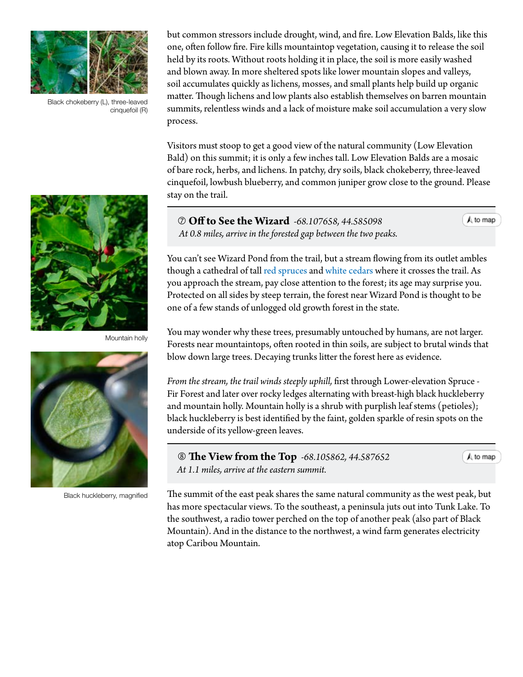

Black chokeberry (L), three-leaved cinquefoil (R)

but common stressors include drought, wind, and fire. [Low Elevation Balds](http://www.maine.gov/dacf/mnap/features/communities/lowelevationbald.htm), like this one, often follow fire. Fire kills mountaintop vegetation, causing it to release the soil held by its roots. Without roots holding it in place, the soil is more easily washed and blown away. In more sheltered spots like lower mountain slopes and valleys, soil accumulates quickly as lichens, mosses, and small plants help build up organic matter. Though lichens and low plants also establish themselves on barren mountain summits, relentless winds and a lack of moisture make soil accumulation a very slow process.

Visitors must stoop to get a good view of the natural community (Low Elevation Bald) on this summit; it is only a few inches tall. Low Elevation Balds are a mosaic of bare rock, herbs, and lichens. In patchy, dry soils, black chokeberry, three-leaved cinquefoil, lowbush blueberry, and common juniper grow close to the ground. Please stay on the trail.

Mountain holly



Black huckleberry, magnified

 **Off to See the Wizard** *-68.107658, 44.585098 At 0.8 miles, arrive in the forested gap between the two peaks.*

You can't see Wizard Pond from the trail, but a stream flowing from its outlet ambles though a cathedral of tall [red spruces](http://dendro.cnre.vt.edu/dendrology/syllabus/factsheet.cfm?ID=137) and [white cedars](http://dendro.cnre.vt.edu/dendrology/syllabus/factsheet.cfm?ID=118) where it crosses the trail. As you approach the stream, pay close attention to the forest; its age may surprise you. Protected on all sides by steep terrain, the forest near Wizard Pond is thought to be one of a few stands of unlogged old growth forest in the state.

You may wonder why these trees, presumably untouched by humans, are not larger. Forests near mountaintops, often rooted in thin soils, are subject to brutal winds that blow down large trees. Decaying trunks litter the forest here as evidence.

*From the stream, the trail winds steeply uphill,* first through Lower-elevation Spruce - Fir Forest and later over rocky ledges alternating with breast-high black huckleberry and mountain holly. Mountain holly is a shrub with purplish leaf stems (petioles); black huckleberry is best identified by the faint, golden sparkle of resin spots on the underside of its yellow-green leaves.

 **The View from the Top** *-68.105862, 44.587652 At 1.1 miles, arrive at the eastern summit.*

A to map

A to map

The summit of the east peak shares the same natural community as the west peak, but has more spectacular views. To the southeast, a peninsula juts out into Tunk Lake. To the southwest, a radio tower perched on the top of another peak (also part of Black Mountain). And in the distance to the northwest, a wind farm generates electricity atop Caribou Mountain.